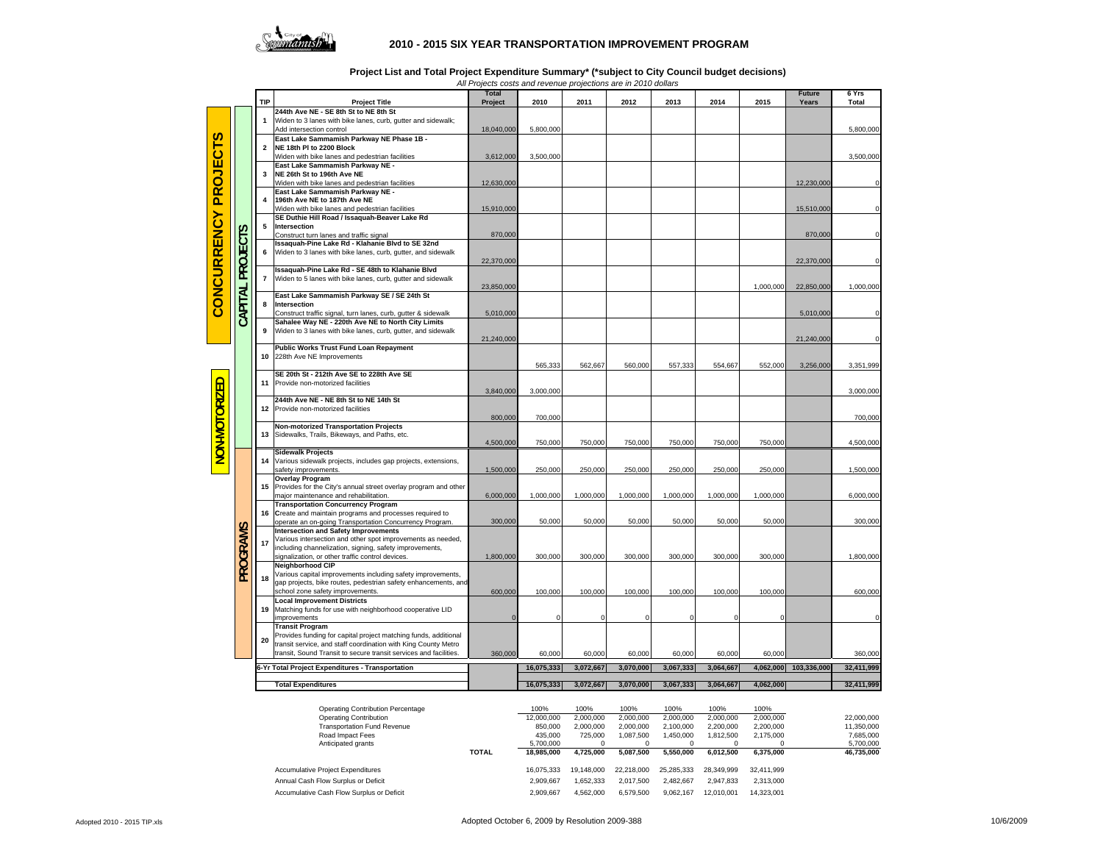

## **2010 - 2015 SIX YEAR TRANSPORTATION IMPROVEMENT PROGRAM**

**Project List and Total Project Expenditure Summary\* (\*subject to City Council budget decisions)**

*All Projects costs and revenue projections are in 2010 dollars*

|                                   |                |                         |                                                                                                                    | <b>Total</b> |                  |                             |                        |                      |                       |                        | <b>Future</b>         | 6 Yrs                   |
|-----------------------------------|----------------|-------------------------|--------------------------------------------------------------------------------------------------------------------|--------------|------------------|-----------------------------|------------------------|----------------------|-----------------------|------------------------|-----------------------|-------------------------|
|                                   |                | TIP                     | <b>Project Title</b>                                                                                               | Project      | 2010             | 2011                        | 2012                   | 2013                 | 2014                  | 2015                   | Years                 | <b>Total</b>            |
|                                   |                |                         | 244th Ave NE - SE 8th St to NE 8th St                                                                              |              |                  |                             |                        |                      |                       |                        |                       |                         |
| n<br><b>PROJEC</b><br>CONCURRENCY |                | $\mathbf{1}$            | Widen to 3 lanes with bike lanes, curb, gutter and sidewalk;<br>Add intersection control                           |              |                  |                             |                        |                      |                       |                        |                       |                         |
|                                   |                |                         | East Lake Sammamish Parkway NE Phase 1B -                                                                          | 18,040,000   | 5,800,000        |                             |                        |                      |                       |                        |                       | 5,800,000               |
|                                   |                | $\overline{2}$          | NE 18th PI to 2200 Block                                                                                           |              |                  |                             |                        |                      |                       |                        |                       |                         |
|                                   |                |                         | Widen with bike lanes and pedestrian facilities                                                                    | 3,612,000    | 3,500,000        |                             |                        |                      |                       |                        |                       | 3,500,000               |
|                                   |                |                         | East Lake Sammamish Parkway NE -                                                                                   |              |                  |                             |                        |                      |                       |                        |                       |                         |
|                                   |                | 3                       | NE 26th St to 196th Ave NE                                                                                         |              |                  |                             |                        |                      |                       |                        |                       |                         |
|                                   |                |                         | Widen with bike lanes and pedestrian facilities                                                                    | 12,630,000   |                  |                             |                        |                      |                       |                        | 12,230,000            |                         |
|                                   |                |                         | East Lake Sammamish Parkway NE -                                                                                   |              |                  |                             |                        |                      |                       |                        |                       |                         |
|                                   | ပ              | $\Delta$                | 196th Ave NE to 187th Ave NE                                                                                       |              |                  |                             |                        |                      |                       |                        |                       |                         |
|                                   |                |                         | Widen with bike lanes and pedestrian facilities<br>SE Duthie Hill Road / Issaquah-Beaver Lake Rd                   | 15,910,000   |                  |                             |                        |                      |                       |                        | 15,510,000            |                         |
|                                   |                | 5                       | Intersection                                                                                                       |              |                  |                             |                        |                      |                       |                        |                       |                         |
|                                   |                |                         | Construct turn lanes and traffic signal                                                                            | 870,000      |                  |                             |                        |                      |                       |                        | 870,000               |                         |
|                                   |                |                         | Issaquah-Pine Lake Rd - Klahanie Blvd to SE 32nd                                                                   |              |                  |                             |                        |                      |                       |                        |                       |                         |
|                                   |                | 6                       | Widen to 3 lanes with bike lanes, curb, gutter, and sidewalk                                                       |              |                  |                             |                        |                      |                       |                        |                       |                         |
|                                   | PROJECT        |                         | Issaquah-Pine Lake Rd - SE 48th to Klahanie Blvd                                                                   | 22,370,000   |                  |                             |                        |                      |                       |                        | 22,370,000            |                         |
|                                   |                | $\overline{\mathbf{r}}$ | Widen to 5 lanes with bike lanes, curb, gutter and sidewalk                                                        |              |                  |                             |                        |                      |                       |                        |                       |                         |
|                                   |                |                         |                                                                                                                    | 23,850,000   |                  |                             |                        |                      |                       | 1,000,000              | 22,850,000            | 1,000,000               |
|                                   | CAPITAL        |                         | East Lake Sammamish Parkway SE / SE 24th St                                                                        |              |                  |                             |                        |                      |                       |                        |                       |                         |
|                                   |                | 8                       | Intersection                                                                                                       |              |                  |                             |                        |                      |                       |                        |                       |                         |
|                                   |                |                         | Construct traffic signal, turn lanes, curb, gutter & sidewalk                                                      | 5,010,000    |                  |                             |                        |                      |                       |                        | 5,010,000             |                         |
|                                   |                | 9                       | Sahalee Way NE - 220th Ave NE to North City Limits<br>Widen to 3 lanes with bike lanes, curb, gutter, and sidewalk |              |                  |                             |                        |                      |                       |                        |                       |                         |
|                                   |                |                         |                                                                                                                    | 21,240,000   |                  |                             |                        |                      |                       |                        | 21,240,000            |                         |
|                                   |                |                         | Public Works Trust Fund Loan Repayment                                                                             |              |                  |                             |                        |                      |                       |                        |                       |                         |
|                                   |                | 10                      | 228th Ave NE Improvements                                                                                          |              |                  |                             |                        |                      |                       |                        |                       |                         |
|                                   |                |                         |                                                                                                                    |              | 565,333          | 562,667                     | 560,000                | 557,333              | 554,667               | 552,000                | 3,256,000             | 3,351,999               |
|                                   |                |                         | SE 20th St - 212th Ave SE to 228th Ave SE                                                                          |              |                  |                             |                        |                      |                       |                        |                       |                         |
| NON-MOTORIZED                     |                | 11                      | Provide non-motorized facilities                                                                                   | 3,840,000    | 3,000,000        |                             |                        |                      |                       |                        |                       | 3,000,000               |
|                                   |                |                         | 244th Ave NE - NE 8th St to NE 14th St                                                                             |              |                  |                             |                        |                      |                       |                        |                       |                         |
|                                   |                | 12                      | Provide non-motorized facilities                                                                                   |              |                  |                             |                        |                      |                       |                        |                       |                         |
|                                   |                |                         |                                                                                                                    | 800,000      | 700,000          |                             |                        |                      |                       |                        |                       | 700,000                 |
|                                   |                |                         | <b>Non-motorized Transportation Projects</b>                                                                       |              |                  |                             |                        |                      |                       |                        |                       |                         |
|                                   |                | 13                      | Sidewalks, Trails, Bikeways, and Paths, etc.                                                                       | 4,500,000    | 750,000          | 750,000                     | 750,000                | 750,000              | 750,000               | 750,000                |                       | 4,500,000               |
|                                   |                |                         | Sidewalk Projects                                                                                                  |              |                  |                             |                        |                      |                       |                        |                       |                         |
|                                   |                | 14                      | Various sidewalk projects, includes gap projects, extensions,                                                      |              |                  |                             |                        |                      |                       |                        |                       |                         |
|                                   |                |                         | safety improvements.                                                                                               | 1,500,000    | 250,000          | 250,000                     | 250,000                | 250,000              | 250,000               | 250,000                |                       | 1,500,000               |
|                                   |                |                         | <b>Overlay Program</b>                                                                                             |              |                  |                             |                        |                      |                       |                        |                       |                         |
|                                   |                | 15                      | Provides for the City's annual street overlay program and other                                                    |              |                  |                             |                        |                      |                       |                        |                       |                         |
|                                   |                |                         | major maintenance and rehabilitation.                                                                              | 6,000,000    | 1,000,000        | 1,000,000                   | 1,000,000              | 1,000,000            | 1,000,000             | 1,000,000              |                       | 6,000,000               |
|                                   |                | 16                      | <b>Transportation Concurrency Program</b><br>Create and maintain programs and processes required to                |              |                  |                             |                        |                      |                       |                        |                       |                         |
|                                   |                |                         | operate an on-going Transportation Concurrency Program.                                                            | 300,000      | 50,000           | 50,000                      | 50,000                 | 50,000               | 50,000                | 50,000                 |                       | 300,000                 |
|                                   | <b>PROGRAM</b> |                         | <b>Intersection and Safety Improvements</b>                                                                        |              |                  |                             |                        |                      |                       |                        |                       |                         |
|                                   |                | 17                      | Various intersection and other spot improvements as needed,                                                        |              |                  |                             |                        |                      |                       |                        |                       |                         |
|                                   |                |                         | including channelization, signing, safety improvements,                                                            |              |                  |                             |                        |                      |                       |                        |                       |                         |
|                                   |                |                         | signalization, or other traffic control devices<br><b>Neighborhood CIP</b>                                         | 1,800,000    | 300,000          | 300,000                     | 300,000                | 300,000              | 300,000               | 300,000                |                       | 1,800,000               |
|                                   |                |                         | Various capital improvements including safety improvements,                                                        |              |                  |                             |                        |                      |                       |                        |                       |                         |
|                                   |                | 18                      | gap projects, bike routes, pedestrian safety enhancements, and                                                     |              |                  |                             |                        |                      |                       |                        |                       |                         |
|                                   |                |                         | school zone safety improvements.                                                                                   | 600,000      | 100,000          | 100,000                     | 100,000                | 100,000              | 100,000               | 100,000                |                       | 600,000                 |
|                                   |                |                         | <b>Local Improvement Districts</b>                                                                                 |              |                  |                             |                        |                      |                       |                        |                       |                         |
|                                   |                | 19                      | Matching funds for use with neighborhood cooperative LID                                                           |              |                  |                             |                        |                      |                       |                        |                       |                         |
|                                   |                |                         | improvements<br><b>Transit Program</b>                                                                             |              | $\Omega$         | $\Omega$                    | $\Omega$               |                      | $\Omega$              |                        |                       |                         |
|                                   |                | 20                      | Provides funding for capital project matching funds, additional                                                    |              |                  |                             |                        |                      |                       |                        |                       |                         |
|                                   |                |                         | transit service, and staff coordination with King County Metro                                                     |              |                  |                             |                        |                      |                       |                        |                       |                         |
|                                   |                |                         | transit, Sound Transit to secure transit services and facilities.                                                  | 360,000      | 60,000           | 60,000                      | 60,000                 | 60,000               | 60,000                | 60,000                 |                       | 360,000                 |
|                                   |                |                         | 6-Yr Total Project Expenditures - Transportation                                                                   |              | 16,075,333       | 3,072,667                   | 3,070,000              | 3,067,333            | 3,064,667             |                        | 4,062,000 103,336,000 | 32,411,999              |
|                                   |                |                         |                                                                                                                    |              |                  |                             |                        |                      |                       |                        |                       |                         |
|                                   |                |                         | <b>Total Expenditures</b>                                                                                          |              | 16,075,333       | 3,072,667                   | 3,070,000              | 3,067,333            | 3,064,667             | 4,062,000              |                       | 32,411,999              |
|                                   |                |                         |                                                                                                                    |              |                  |                             |                        |                      |                       |                        |                       |                         |
|                                   |                |                         | Operating Contribution Percentage                                                                                  |              | 100%             | 100%                        | 100%                   | 100%                 | 100%                  | 100%                   |                       |                         |
|                                   |                |                         | <b>Operating Contribution</b>                                                                                      |              | 12,000,000       | 2,000,000                   | 2,000,000              | 2,000,000            | 2,000,000             | 2,000,000              |                       | 22,000,000              |
|                                   |                |                         | <b>Transportation Fund Revenue</b><br><b>Bood Import Foot</b>                                                      |              | 850,000<br>12500 | 2,000,000<br><b>705.000</b> | 2,000,000<br>1.097 E00 | 2,100,000<br>1.45000 | 2,200,000<br>1.012500 | 2,200,000<br>2.175.000 |                       | 11,350,000<br>7 COE 000 |
|                                   |                |                         |                                                                                                                    |              |                  |                             |                        |                      |                       |                        |                       |                         |

| Road Impact Fees                          |              | 435.000    | 725.000    | 1.087.500  | 1.450.000  | 1.812.500  | 2.175.000  | 7.685.000  |
|-------------------------------------------|--------------|------------|------------|------------|------------|------------|------------|------------|
| Anticipated grants                        |              | 5.700.000  |            |            |            |            |            | 5.700.000  |
|                                           | <b>TOTAL</b> | 18.985.000 | 4.725.000  | 5.087.500  | 5.550.000  | 6.012.500  | 6.375.000  | 46.735.000 |
| Accumulative Project Expenditures         |              | 16.075.333 | 19.148.000 | 22.218.000 | 25.285.333 | 28,349,999 | 32.411.999 |            |
|                                           |              |            |            |            |            |            |            |            |
| Annual Cash Flow Surplus or Deficit       |              | 2.909.667  | 1.652.333  | 2.017.500  | 2.482.667  | 2.947.833  | 2.313.000  |            |
| Accumulative Cash Flow Surplus or Deficit |              | 2.909.667  | 4.562.000  | 6.579.500  | 9.062.167  | 12.010.001 | 14.323.001 |            |
|                                           |              |            |            |            |            |            |            |            |